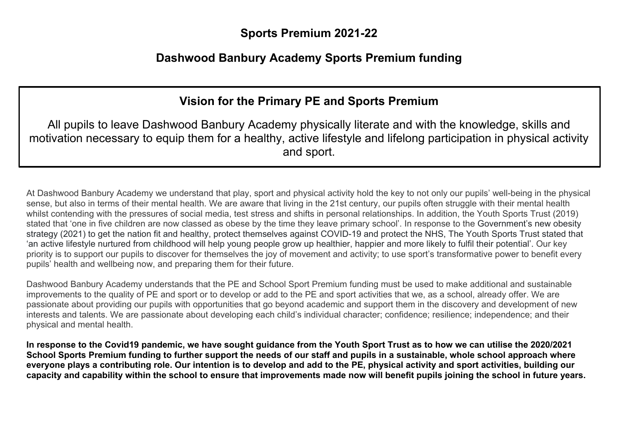### **Sports Premium 2021-22**

# **Dashwood Banbury Academy Sports Premium funding**

# **Vision for the Primary PE and Sports Premium**

All pupils to leave Dashwood Banbury Academy physically literate and with the knowledge, skills and motivation necessary to equip them for a healthy, active lifestyle and lifelong participation in physical activity and sport.

At Dashwood Banbury Academy we understand that play, sport and physical activity hold the key to not only our pupils' well-being in the physical sense, but also in terms of their mental health. We are aware that living in the 21st century, our pupils often struggle with their mental health whilst contending with the pressures of social media, test stress and shifts in personal relationships. In addition, the Youth Sports Trust (2019) stated that 'one in five children are now classed as obese by the time they leave primary school'. In response to the Government's new obesity strategy (2021) to get the nation fit and healthy, protect themselves against COVID-19 and protect the NHS, The Youth Sports Trust stated that 'an active lifestyle nurtured from childhood will help young people grow up healthier, happier and more likely to fulfil their potential'. Our key priority is to support our pupils to discover for themselves the joy of movement and activity; to use sport's transformative power to benefit every pupils' health and wellbeing now, and preparing them for their future.

Dashwood Banbury Academy understands that the PE and School Sport Premium funding must be used to make additional and sustainable improvements to the quality of PE and sport or to develop or add to the PE and sport activities that we, as a school, already offer. We are passionate about providing our pupils with opportunities that go beyond academic and support them in the discovery and development of new interests and talents. We are passionate about developing each child's individual character; confidence; resilience; independence; and their physical and mental health.

**In response to the Covid19 pandemic, we have sought guidance from the Youth Sport Trust as to how we can utilise the 2020/2021 School Sports Premium funding to further support the needs of our staff and pupils in a sustainable, whole school approach where everyone plays a contributing role. Our intention is to develop and add to the PE, physical activity and sport activities, building our capacity and capability within the school to ensure that improvements made now will benefit pupils joining the school in future years.**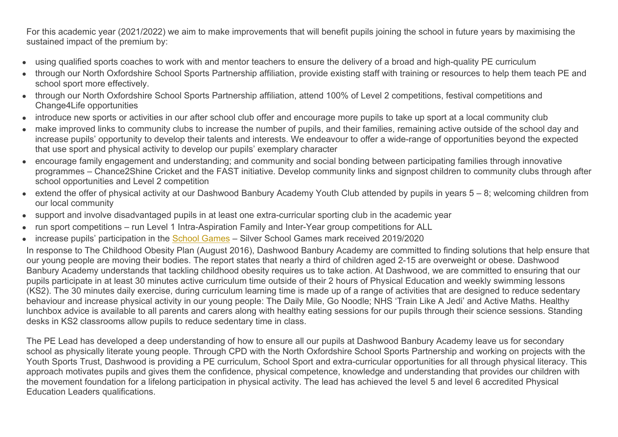For this academic year (2021/2022) we aim to make improvements that will benefit pupils joining the school in future years by maximising the sustained impact of the premium by:

- using qualified sports coaches to work with and mentor teachers to ensure the delivery of a broad and high-quality PE curriculum
- through our North Oxfordshire School Sports Partnership affiliation, provide existing staff with training or resources to help them teach PE and school sport more effectively.
- through our North Oxfordshire School Sports Partnership affiliation, attend 100% of Level 2 competitions, festival competitions and Change4Life opportunities
- introduce new sports or activities in our after school club offer and encourage more pupils to take up sport at a local community club
- make improved links to community clubs to increase the number of pupils, and their families, remaining active outside of the school day and increase pupils' opportunity to develop their talents and interests. We endeavour to offer a wide-range of opportunities beyond the expected that use sport and physical activity to develop our pupils' exemplary character
- encourage family engagement and understanding; and community and social bonding between participating families through innovative programmes – Chance2Shine Cricket and the FAST initiative. Develop community links and signpost children to community clubs through after school opportunities and Level 2 competition
- $\bullet$  extend the offer of physical activity at our Dashwood Banbury Academy Youth Club attended by pupils in years  $5 8$ ; welcoming children from our local community
- support and involve disadvantaged pupils in at least one extra-curricular sporting club in the academic year
- run sport competitions run Level 1 Intra-Aspiration Family and Inter-Year group competitions for ALL
- increase pupils' participation in the [School Games](https://www.gov.uk/government/policies/getting-more-people-playing-sport/supporting-pages/the-school-games) Silver School Games mark received 2019/2020

In response to The Childhood Obesity Plan (August 2016), Dashwood Banbury Academy are committed to finding solutions that help ensure that our young people are moving their bodies. The report states that nearly a third of children aged 2-15 are overweight or obese. Dashwood Banbury Academy understands that tackling childhood obesity requires us to take action. At Dashwood, we are committed to ensuring that our pupils participate in at least 30 minutes active curriculum time outside of their 2 hours of Physical Education and weekly swimming lessons (KS2). The 30 minutes daily exercise, during curriculum learning time is made up of a range of activities that are designed to reduce sedentary behaviour and increase physical activity in our young people: The Daily Mile, Go Noodle; NHS 'Train Like A Jedi' and Active Maths. Healthy lunchbox advice is available to all parents and carers along with healthy eating sessions for our pupils through their science sessions. Standing desks in KS2 classrooms allow pupils to reduce sedentary time in class.

The PE Lead has developed a deep understanding of how to ensure all our pupils at Dashwood Banbury Academy leave us for secondary school as physically literate young people. Through CPD with the North Oxfordshire School Sports Partnership and working on projects with the Youth Sports Trust, Dashwood is providing a PE curriculum, School Sport and extra-curricular opportunities for all through physical literacy. This approach motivates pupils and gives them the confidence, physical competence, knowledge and understanding that provides our children with the movement foundation for a lifelong participation in physical activity. The lead has achieved the level 5 and level 6 accredited Physical Education Leaders qualifications.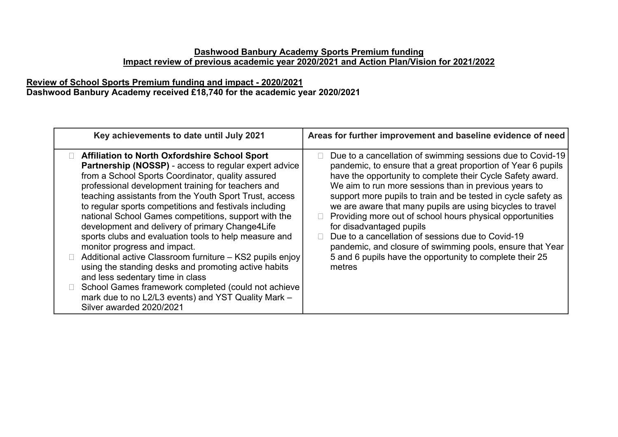#### **Dashwood Banbury Academy Sports Premium funding Impact review of previous academic year 2020/2021 and Action Plan/Vision for 2021/2022**

#### **Review of School Sports Premium funding and impact - 2020/2021 Dashwood Banbury Academy received £18,740 for the academic year 2020/2021**

| Key achievements to date until July 2021                                                                                                                                                                                                                                                                                                                                                                                                                                                                                                                                                                                                                                                                                                                                                                                                                  | Areas for further improvement and baseline evidence of need                                                                                                                                                                                                                                                                                                                                                                                                                                                                                                                                                                                                       |
|-----------------------------------------------------------------------------------------------------------------------------------------------------------------------------------------------------------------------------------------------------------------------------------------------------------------------------------------------------------------------------------------------------------------------------------------------------------------------------------------------------------------------------------------------------------------------------------------------------------------------------------------------------------------------------------------------------------------------------------------------------------------------------------------------------------------------------------------------------------|-------------------------------------------------------------------------------------------------------------------------------------------------------------------------------------------------------------------------------------------------------------------------------------------------------------------------------------------------------------------------------------------------------------------------------------------------------------------------------------------------------------------------------------------------------------------------------------------------------------------------------------------------------------------|
| <b>Affiliation to North Oxfordshire School Sport</b><br><b>Partnership (NOSSP)</b> - access to regular expert advice<br>from a School Sports Coordinator, quality assured<br>professional development training for teachers and<br>teaching assistants from the Youth Sport Trust, access<br>to regular sports competitions and festivals including<br>national School Games competitions, support with the<br>development and delivery of primary Change4Life<br>sports clubs and evaluation tools to help measure and<br>monitor progress and impact.<br>Additional active Classroom furniture - KS2 pupils enjoy<br>using the standing desks and promoting active habits<br>and less sedentary time in class<br>School Games framework completed (could not achieve<br>mark due to no L2/L3 events) and YST Quality Mark -<br>Silver awarded 2020/2021 | Due to a cancellation of swimming sessions due to Covid-19<br>pandemic, to ensure that a great proportion of Year 6 pupils<br>have the opportunity to complete their Cycle Safety award.<br>We aim to run more sessions than in previous years to<br>support more pupils to train and be tested in cycle safety as<br>we are aware that many pupils are using bicycles to travel<br>Providing more out of school hours physical opportunities<br>for disadvantaged pupils<br>Due to a cancellation of sessions due to Covid-19<br>pandemic, and closure of swimming pools, ensure that Year<br>5 and 6 pupils have the opportunity to complete their 25<br>metres |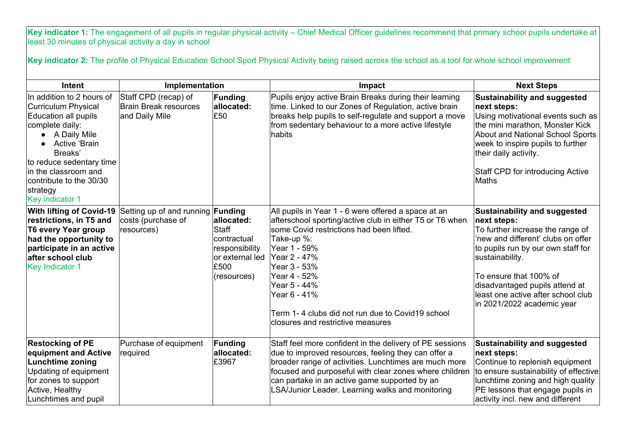Key indicator 1: The engagement of all pupils in regular physical activity – Chief Medical Officer guidelines recommend that primary school pupils undertake at least 30 minutes of physical activity a day in school

**Key indicator 2:** The profile of Physical Education School Sport Physical Activity being raised across the school as a tool for whole school improvement

| <b>Intent</b>                                                                                                                                                                                                                                                | Implementation                                                         |                                                                                                                   | Impact                                                                                                                                                                                                                                                                                                                                                             | <b>Next Steps</b>                                                                                                                                                                                                                                                                                                     |
|--------------------------------------------------------------------------------------------------------------------------------------------------------------------------------------------------------------------------------------------------------------|------------------------------------------------------------------------|-------------------------------------------------------------------------------------------------------------------|--------------------------------------------------------------------------------------------------------------------------------------------------------------------------------------------------------------------------------------------------------------------------------------------------------------------------------------------------------------------|-----------------------------------------------------------------------------------------------------------------------------------------------------------------------------------------------------------------------------------------------------------------------------------------------------------------------|
| In addition to 2 hours of<br>Curriculum Physical<br>Education all pupils<br>complete daily:<br>A Daily Mile<br>Active 'Brain<br>Breaks'<br>to reduce sedentary time<br>in the classroom and<br>contribute to the 30/30<br>strategy<br><b>Key indicator 1</b> | Staff CPD (recap) of<br><b>Brain Break resources</b><br>and Daily Mile | Funding<br>allocated:<br>£50                                                                                      | Pupils enjoy active Brain Breaks during their learning<br>time. Linked to our Zones of Regulation, active brain<br>breaks help pupils to self-regulate and support a move<br>from sedentary behaviour to a more active lifestyle<br>habits                                                                                                                         | <b>Sustainability and suggested</b><br>next steps:<br>Using motivational events such as<br>the mini marathon, Monster Kick<br><b>About and National School Sports</b><br>week to inspire pupils to further<br>their daily activity.<br>Staff CPD for introducing Active<br>Maths                                      |
| <b>With lifting of Covid-19</b><br>restrictions, in T5 and<br><b>T6 every Year group</b><br>had the opportunity to<br>participate in an active<br>after school club<br><b>Key Indicator 1</b>                                                                | Setting up of and running<br>costs (purchase of<br>resources)          | Funding<br>allocated:<br><b>Staff</b><br>lcontractual<br>responsibility<br>or external led<br>£500<br>(resources) | All pupils in Year 1 - 6 were offered a space at an<br>afterschool sporting/active club in either T5 or T6 when<br>some Covid restrictions had been lifted.<br>Take-up %:<br>Year 1 - 59%<br>Year 2 - 47%<br>Year 3 - 53%<br>Year 4 - 52%<br>Year 5 - 44%<br>Year 6 - 41%<br>Term 1-4 clubs did not run due to Covid19 school<br>closures and restrictive measures | <b>Sustainability and suggested</b><br>next steps:<br>To further increase the range of<br>'new and different' clubs on offer<br>to pupils run by our own staff for<br>sustainability.<br>To ensure that 100% of<br>disadvantaged pupils attend at<br>least one active after school club<br>in 2021/2022 academic year |
| <b>Restocking of PE</b><br>equipment and Active<br><b>Lunchtime zoning</b><br>Updating of equipment<br>for zones to support<br>Active, Healthy<br>Lunchtimes and pupil                                                                                       | Purchase of equipment<br>required                                      | Funding<br>allocated:<br>£3967                                                                                    | Staff feel more confident in the delivery of PE sessions<br>due to improved resources, feeling they can offer a<br>broader range of activities. Lunchtimes are much more<br>focused and purposeful with clear zones where children<br>can partake in an active game supported by an<br>LSA/Junior Leader. Learning walks and monitoring                            | <b>Sustainability and suggested</b><br>next steps:<br>Continue to replenish equipment<br>to ensure sustainability of effective<br>lunchtime zoning and high quality<br>PE lessons that engage pupils in<br>activity incl. new and different                                                                           |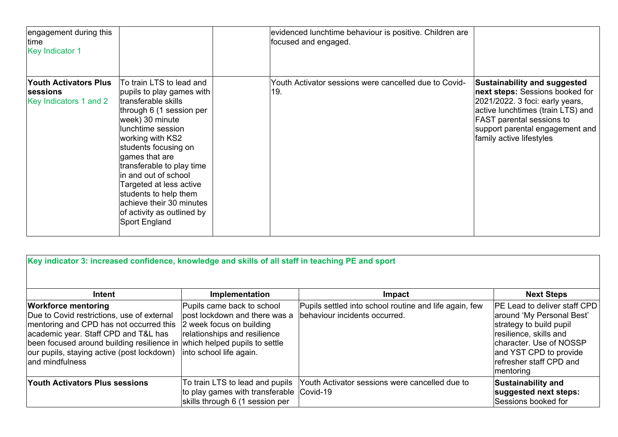| engagement during this<br>time<br><b>Key Indicator 1</b>                  |                                                                                                                                                                                                                                                                                                                                                                                                    | evidenced lunchtime behaviour is positive. Children are<br>focused and engaged. |                                                                                                                                                                                                                                                   |
|---------------------------------------------------------------------------|----------------------------------------------------------------------------------------------------------------------------------------------------------------------------------------------------------------------------------------------------------------------------------------------------------------------------------------------------------------------------------------------------|---------------------------------------------------------------------------------|---------------------------------------------------------------------------------------------------------------------------------------------------------------------------------------------------------------------------------------------------|
| <b>Youth Activators Plus</b><br><b>sessions</b><br>Key Indicators 1 and 2 | To train LTS to lead and<br>pupils to play games with<br>transferable skills<br>through 6 (1 session per<br>week) 30 minute<br>lunchtime session<br>working with KS2<br>students focusing on<br>games that are<br>transferable to play time<br>in and out of school<br>Targeted at less active<br>students to help them<br>achieve their 30 minutes<br>of activity as outlined by<br>Sport England | Youth Activator sessions were cancelled due to Covid-<br>19.                    | <b>Sustainability and suggested</b><br>next steps: Sessions booked for<br>2021/2022. 3 foci: early years,<br>active lunchtimes (train LTS) and<br><b>FAST</b> parental sessions to<br>support parental engagement and<br>family active lifestyles |

| Key indicator 3: increased confidence, knowledge and skills of all staff in teaching PE and sport                                                                                                                                                                           |                                                                                                                                                                                     |                                                                                         |                                                                                                                                                                                                                    |
|-----------------------------------------------------------------------------------------------------------------------------------------------------------------------------------------------------------------------------------------------------------------------------|-------------------------------------------------------------------------------------------------------------------------------------------------------------------------------------|-----------------------------------------------------------------------------------------|--------------------------------------------------------------------------------------------------------------------------------------------------------------------------------------------------------------------|
| Intent                                                                                                                                                                                                                                                                      | Implementation                                                                                                                                                                      | <b>Impact</b>                                                                           | <b>Next Steps</b>                                                                                                                                                                                                  |
| <b>Workforce mentoring</b><br>Due to Covid restrictions, use of external<br>mentoring and CPD has not occurred this<br>academic year. Staff CPD and T&L has<br>been focused around building resilience in<br>our pupils, staying active (post lockdown)<br>land mindfulness | Pupils came back to school<br>post lockdown and there was a<br>2 week focus on building<br>relationships and resilience<br>which helped pupils to settle<br>into school life again. | Pupils settled into school routine and life again, few<br>behaviour incidents occurred. | <b>PE Lead to deliver staff CPD</b><br>around 'My Personal Best'<br>strategy to build pupil<br>resilience, skills and<br>character. Use of NOSSP<br>and YST CPD to provide<br>refresher staff CPD and<br>mentoring |
| <b>Youth Activators Plus sessions</b>                                                                                                                                                                                                                                       | To train LTS to lead and pupils<br>to play games with transferable Covid-19<br>skills through 6 (1 session per                                                                      | Youth Activator sessions were cancelled due to                                          | <b>Sustainability and</b><br>suggested next steps:<br>Sessions booked for                                                                                                                                          |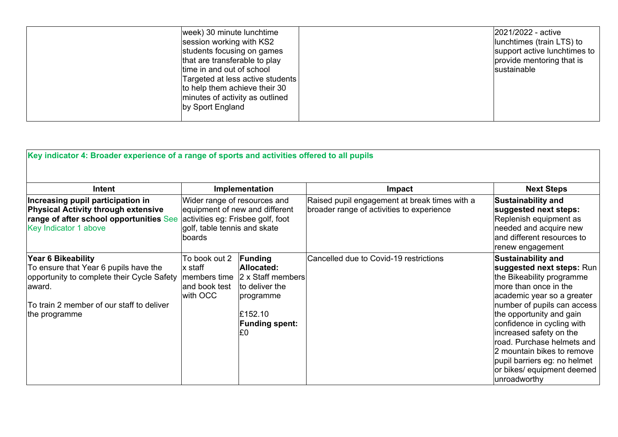| week) 30 minute lunchtime<br>session working with KS2<br>students focusing on games<br>that are transferable to play<br>time in and out of school<br>Targeted at less active students<br>to help them achieve their 30<br>minutes of activity as outlined<br>by Sport England |  | 2021/2022 - active<br>lunchtimes (train LTS) to<br>support active lunchtimes to<br>provide mentoring that is<br><b>sustainable</b> |
|-------------------------------------------------------------------------------------------------------------------------------------------------------------------------------------------------------------------------------------------------------------------------------|--|------------------------------------------------------------------------------------------------------------------------------------|
|-------------------------------------------------------------------------------------------------------------------------------------------------------------------------------------------------------------------------------------------------------------------------------|--|------------------------------------------------------------------------------------------------------------------------------------|

| Key indicator 4: Broader experience of a range of sports and activities offered to all pupils                                                                                      |                                                                        |                                                                                                                     |                                                                                            |                                                                                                                                                                                                                                                                                                                                                                                                          |
|------------------------------------------------------------------------------------------------------------------------------------------------------------------------------------|------------------------------------------------------------------------|---------------------------------------------------------------------------------------------------------------------|--------------------------------------------------------------------------------------------|----------------------------------------------------------------------------------------------------------------------------------------------------------------------------------------------------------------------------------------------------------------------------------------------------------------------------------------------------------------------------------------------------------|
| Intent                                                                                                                                                                             |                                                                        | Implementation                                                                                                      | Impact                                                                                     | <b>Next Steps</b>                                                                                                                                                                                                                                                                                                                                                                                        |
| Increasing pupil participation in<br><b>Physical Activity through extensive</b><br>range of after school opportunities See<br>Key Indicator 1 above                                | Wider range of resources and<br>golf, table tennis and skate<br>boards | equipment of new and different<br>activities eg: Frisbee golf, foot                                                 | Raised pupil engagement at break times with a<br>broader range of activities to experience | <b>Sustainability and</b><br>suggested next steps:<br>Replenish equipment as<br>needed and acquire new<br>and different resources to<br>renew engagement                                                                                                                                                                                                                                                 |
| Year 6 Bikeability<br>To ensure that Year 6 pupils have the<br>opportunity to complete their Cycle Safety<br>laward.<br>To train 2 member of our staff to deliver<br>the programme | To book out 2<br>x staff<br>members time<br>and book test<br>with OCC  | Funding<br>Allocated:<br>2 x Staff members<br>to deliver the<br>programme<br>£152.10<br><b>Funding spent:</b><br>£0 | Cancelled due to Covid-19 restrictions                                                     | <b>Sustainability and</b><br>suggested next steps: Run<br>the Bikeability programme<br>more than once in the<br>academic year so a greater<br>number of pupils can access<br>the opportunity and gain<br>confidence in cycling with<br>increased safety on the<br>road. Purchase helmets and<br>2 mountain bikes to remove<br>pupil barriers eg: no helmet<br>or bikes/ equipment deemed<br>unroadworthy |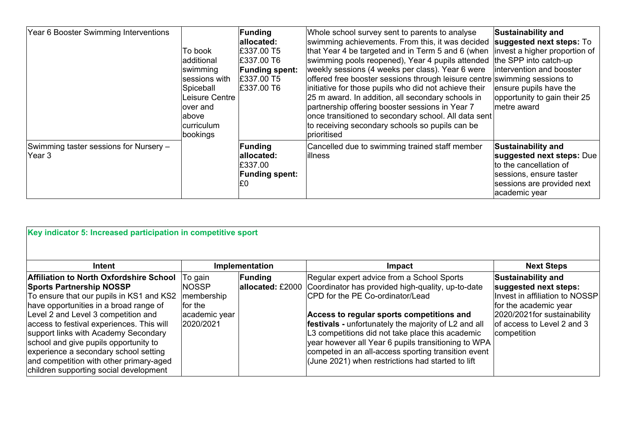| Year 6 Booster Swimming Interventions            | To book<br>additional<br>swimming<br>sessions with<br>Spiceball<br>Leisure Centre<br>over and<br>labove<br>curriculum<br>bookings | <b>Funding</b><br>allocated:<br>£337.00 T5<br>£337.00 T6<br><b>Funding spent:</b><br>£337.00 T5<br>E337.00 T6 | Whole school survey sent to parents to analyse<br>swimming achievements. From this, it was decided<br>that Year 4 be targeted and in Term 5 and 6 (when<br>swimming pools reopened), Year 4 pupils attended<br>weekly sessions (4 weeks per class). Year 6 were<br>offered free booster sessions through leisure centre swimming sessions to<br>initiative for those pupils who did not achieve their<br>25 m award. In addition, all secondary schools in<br>partnership offering booster sessions in Year 7<br>once transitioned to secondary school. All data sent<br>to receiving secondary schools so pupils can be<br>prioritised | <b>Sustainability and</b><br>suggested next steps: To<br>invest a higher proportion of<br>the SPP into catch-up<br>intervention and booster<br>ensure pupils have the<br>opportunity to gain their 25<br>metre award |
|--------------------------------------------------|-----------------------------------------------------------------------------------------------------------------------------------|---------------------------------------------------------------------------------------------------------------|-----------------------------------------------------------------------------------------------------------------------------------------------------------------------------------------------------------------------------------------------------------------------------------------------------------------------------------------------------------------------------------------------------------------------------------------------------------------------------------------------------------------------------------------------------------------------------------------------------------------------------------------|----------------------------------------------------------------------------------------------------------------------------------------------------------------------------------------------------------------------|
| Swimming taster sessions for Nursery -<br>Year 3 |                                                                                                                                   | <b>Funding</b><br>allocated:<br>E337.00<br><b>Funding spent:</b><br>E0                                        | Cancelled due to swimming trained staff member<br>lillness                                                                                                                                                                                                                                                                                                                                                                                                                                                                                                                                                                              | Sustainability and<br>suggested next steps: Due<br>to the cancellation of<br>sessions, ensure taster<br>sessions are provided next<br>academic year                                                                  |

| Key indicator 5: Increased participation in competitive sport                                                                                                                                                                                                                                                                                                                                                                                                              |                                                                                  |                             |                                                                                                                                                                                                                                                                                                                                                                                                                                                                               |                                                                                                                                                                                            |  |  |
|----------------------------------------------------------------------------------------------------------------------------------------------------------------------------------------------------------------------------------------------------------------------------------------------------------------------------------------------------------------------------------------------------------------------------------------------------------------------------|----------------------------------------------------------------------------------|-----------------------------|-------------------------------------------------------------------------------------------------------------------------------------------------------------------------------------------------------------------------------------------------------------------------------------------------------------------------------------------------------------------------------------------------------------------------------------------------------------------------------|--------------------------------------------------------------------------------------------------------------------------------------------------------------------------------------------|--|--|
| Intent                                                                                                                                                                                                                                                                                                                                                                                                                                                                     |                                                                                  | Implementation              | Impact                                                                                                                                                                                                                                                                                                                                                                                                                                                                        | <b>Next Steps</b>                                                                                                                                                                          |  |  |
| <b>Affiliation to North Oxfordshire School</b><br><b>Sports Partnership NOSSP</b><br>To ensure that our pupils in KS1 and KS2<br>have opportunities in a broad range of<br>Level 2 and Level 3 competition and<br>access to festival experiences. This will<br>support links with Academy Secondary<br>school and give pupils opportunity to<br>experience a secondary school setting<br>and competition with other primary-aged<br>children supporting social development | To gain<br><b>INOSSP</b><br>membership<br>lfor the<br>academic year<br>2020/2021 | Funding<br>allocated: £2000 | Regular expert advice from a School Sports<br>Coordinator has provided high-quality, up-to-date<br><b>CPD</b> for the PE Co-ordinator/Lead<br>Access to regular sports competitions and<br><b>festivals</b> - unfortunately the majority of L2 and all<br>L3 competitions did not take place this academic<br>year however all Year 6 pupils transitioning to WPA<br>competed in an all-access sporting transition event<br>(June 2021) when restrictions had started to lift | <b>Sustainability and</b><br>suggested next steps:<br>Invest in affiliation to NOSSP<br>for the academic year<br>2020/2021 for sustainability<br>of access to Level 2 and 3<br>competition |  |  |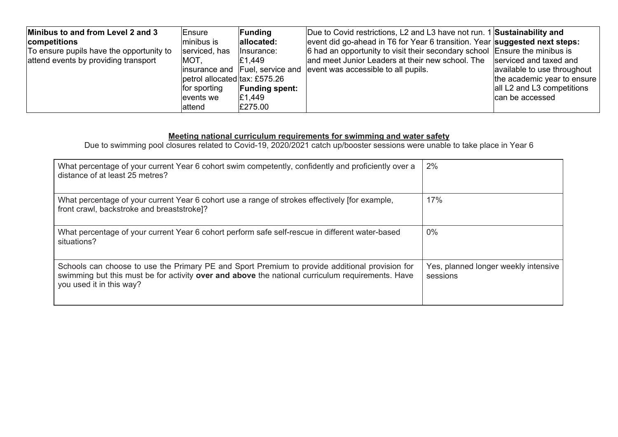| Minibus to and from Level 2 and 3<br>competitions | <b>Ensure</b><br>minibus is   | Funding<br>allocated: | Due to Covid restrictions, L2 and L3 have not run. 1 Sustainability and<br>event did go-ahead in T6 for Year 6 transition. Year suggested next steps: |                             |
|---------------------------------------------------|-------------------------------|-----------------------|-------------------------------------------------------------------------------------------------------------------------------------------------------|-----------------------------|
|                                                   |                               |                       |                                                                                                                                                       |                             |
| To ensure pupils have the opportunity to          | serviced, has                 | lnsurance:            | 6 had an opportunity to visit their secondary school Ensure the minibus is                                                                            |                             |
| attend events by providing transport              | MOT.                          | £1.449                | and meet Junior Leaders at their new school. The serviced and taxed and                                                                               |                             |
|                                                   |                               |                       | linsurance and Fuel, service and levent was accessible to all pupils.                                                                                 | available to use throughout |
|                                                   | petrol allocated tax: £575.26 |                       |                                                                                                                                                       | the academic year to ensure |
|                                                   | for sporting                  | <b>Funding spent:</b> |                                                                                                                                                       | all L2 and L3 competitions  |
|                                                   | events we                     | £1,449                |                                                                                                                                                       | Ican be accessed            |
|                                                   | lattend                       | £275.00               |                                                                                                                                                       |                             |

#### **Meeting national curriculum requirements for swimming and water safety**

Due to swimming pool closures related to Covid-19, 2020/2021 catch up/booster sessions were unable to take place in Year 6

| What percentage of your current Year 6 cohort swim competently, confidently and proficiently over a<br>distance of at least 25 metres?                                                                                         | 2%                                               |
|--------------------------------------------------------------------------------------------------------------------------------------------------------------------------------------------------------------------------------|--------------------------------------------------|
| What percentage of your current Year 6 cohort use a range of strokes effectively [for example,<br>front crawl, backstroke and breaststroke]?                                                                                   | 17%                                              |
| What percentage of your current Year 6 cohort perform safe self-rescue in different water-based<br>situations?                                                                                                                 | 0%                                               |
| Schools can choose to use the Primary PE and Sport Premium to provide additional provision for<br>swimming but this must be for activity over and above the national curriculum requirements. Have<br>you used it in this way? | Yes, planned longer weekly intensive<br>sessions |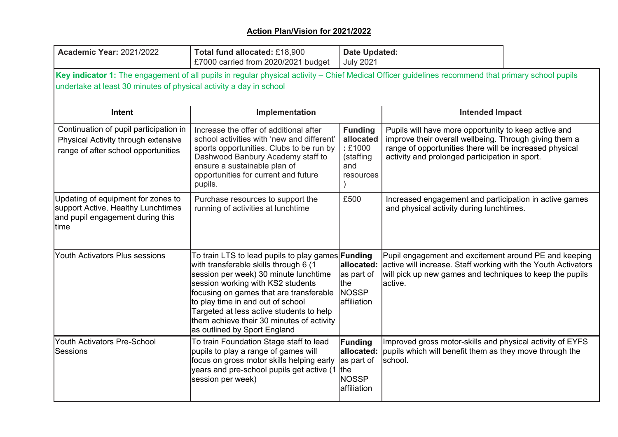| <b>Academic Year: 2021/2022</b>                                                                                                                                                                                          | Total fund allocated: £18,900<br>£7000 carried from 2020/2021 budget                                                                                                                                                                                                                                                                                                                      | <b>Date Updated:</b><br><b>July 2021</b>                               |                                                                                                                                                                                                                             |  |  |  |  |
|--------------------------------------------------------------------------------------------------------------------------------------------------------------------------------------------------------------------------|-------------------------------------------------------------------------------------------------------------------------------------------------------------------------------------------------------------------------------------------------------------------------------------------------------------------------------------------------------------------------------------------|------------------------------------------------------------------------|-----------------------------------------------------------------------------------------------------------------------------------------------------------------------------------------------------------------------------|--|--|--|--|
| Key indicator 1: The engagement of all pupils in regular physical activity – Chief Medical Officer guidelines recommend that primary school pupils<br>undertake at least 30 minutes of physical activity a day in school |                                                                                                                                                                                                                                                                                                                                                                                           |                                                                        |                                                                                                                                                                                                                             |  |  |  |  |
| <b>Intent</b>                                                                                                                                                                                                            | Implementation                                                                                                                                                                                                                                                                                                                                                                            |                                                                        | <b>Intended Impact</b>                                                                                                                                                                                                      |  |  |  |  |
| Continuation of pupil participation in<br>Physical Activity through extensive<br>range of after school opportunities                                                                                                     | Increase the offer of additional after<br>school activities with 'new and different'<br>sports opportunities. Clubs to be run by<br>Dashwood Banbury Academy staff to<br>ensure a sustainable plan of<br>opportunities for current and future<br>pupils.                                                                                                                                  | <b>Funding</b><br>allocated<br>:£1000<br>(staffing<br>and<br>resources | Pupils will have more opportunity to keep active and<br>improve their overall wellbeing. Through giving them a<br>range of opportunities there will be increased physical<br>activity and prolonged participation in sport. |  |  |  |  |
| Updating of equipment for zones to<br>support Active, Healthy Lunchtimes<br>and pupil engagement during this<br>time                                                                                                     | Purchase resources to support the<br>running of activities at lunchtime                                                                                                                                                                                                                                                                                                                   | £500                                                                   | Increased engagement and participation in active games<br>and physical activity during lunchtimes.                                                                                                                          |  |  |  |  |
| Youth Activators Plus sessions                                                                                                                                                                                           | To train LTS to lead pupils to play games  <b>Funding</b><br>with transferable skills through 6 (1<br>session per week) 30 minute lunchtime<br>session working with KS2 students<br>focusing on games that are transferable<br>to play time in and out of school<br>Targeted at less active students to help<br>them achieve their 30 minutes of activity<br>as outlined by Sport England | allocated:<br>as part of<br>Ithe<br><b>NOSSP</b><br>laffiliation       | Pupil engagement and excitement around PE and keeping<br>active will increase. Staff working with the Youth Activators<br>will pick up new games and techniques to keep the pupils<br>active.                               |  |  |  |  |
| Youth Activators Pre-School<br>lSessions                                                                                                                                                                                 | To train Foundation Stage staff to lead<br>pupils to play a range of games will<br>focus on gross motor skills helping early<br>years and pre-school pupils get active (1 the<br>session per week)                                                                                                                                                                                        | Funding<br>allocated:<br>as part of<br><b>NOSSP</b><br>affiliation     | Improved gross motor-skills and physical activity of EYFS<br>pupils which will benefit them as they move through the<br>school.                                                                                             |  |  |  |  |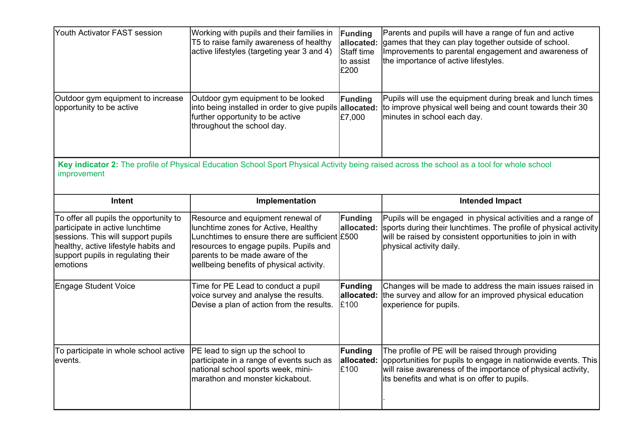| Youth Activator FAST session                                                                                                                                                                              | Working with pupils and their families in<br>T5 to raise family awareness of healthy<br>active lifestyles (targeting year 3 and 4)                                                                                                                  | Funding<br>allocated:<br>Staff time<br>to assist<br>£200 | Parents and pupils will have a range of fun and active<br>games that they can play together outside of school.<br>Improvements to parental engagement and awareness of<br>the importance of active lifestyles.                      |  |  |  |
|-----------------------------------------------------------------------------------------------------------------------------------------------------------------------------------------------------------|-----------------------------------------------------------------------------------------------------------------------------------------------------------------------------------------------------------------------------------------------------|----------------------------------------------------------|-------------------------------------------------------------------------------------------------------------------------------------------------------------------------------------------------------------------------------------|--|--|--|
| Outdoor gym equipment to increase<br>opportunity to be active                                                                                                                                             | Outdoor gym equipment to be looked<br>into being installed in order to give pupils allocated:<br>further opportunity to be active<br>throughout the school day.                                                                                     | Funding<br>£7,000                                        | Pupils will use the equipment during break and lunch times<br>to improve physical well being and count towards their 30<br>minutes in school each day.                                                                              |  |  |  |
| Key indicator 2: The profile of Physical Education School Sport Physical Activity being raised across the school as a tool for whole school<br>improvement                                                |                                                                                                                                                                                                                                                     |                                                          |                                                                                                                                                                                                                                     |  |  |  |
| <b>Intent</b>                                                                                                                                                                                             | Implementation                                                                                                                                                                                                                                      |                                                          | <b>Intended Impact</b>                                                                                                                                                                                                              |  |  |  |
| To offer all pupils the opportunity to<br>participate in active lunchtime<br>sessions. This will support pupils<br>healthy, active lifestyle habits and<br>support pupils in regulating their<br>emotions | Resource and equipment renewal of<br>lunchtime zones for Active, Healthy<br>Lunchtimes to ensure there are sufficient £500<br>resources to engage pupils. Pupils and<br>parents to be made aware of the<br>wellbeing benefits of physical activity. | Funding<br>allocated:                                    | Pupils will be engaged in physical activities and a range of<br>sports during their lunchtimes. The profile of physical activity<br>will be raised by consistent opportunities to join in with<br>physical activity daily.          |  |  |  |
| <b>Engage Student Voice</b>                                                                                                                                                                               | Time for PE Lead to conduct a pupil<br>voice survey and analyse the results.<br>Devise a plan of action from the results.                                                                                                                           | Funding<br>allocated:<br>£100                            | Changes will be made to address the main issues raised in<br>the survey and allow for an improved physical education<br>experience for pupils.                                                                                      |  |  |  |
| To participate in whole school active<br>levents.                                                                                                                                                         | <b>PE</b> lead to sign up the school to<br>participate in a range of events such as<br>national school sports week, mini-<br>lmarathon and monster kickabout.                                                                                       | Funding<br>allocated:<br>£100                            | The profile of PE will be raised through providing<br>opportunities for pupils to engage in nationwide events. This<br>will raise awareness of the importance of physical activity,<br>its benefits and what is on offer to pupils. |  |  |  |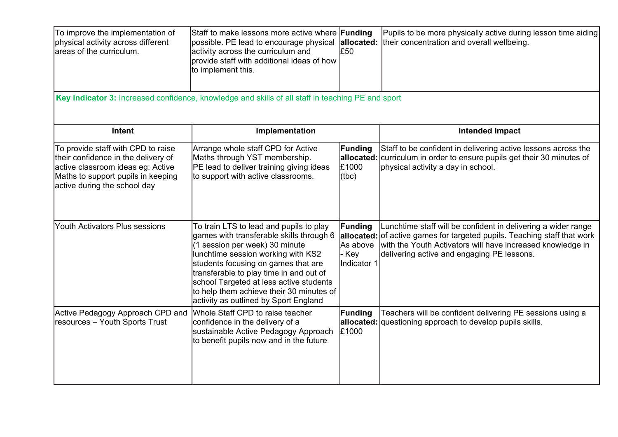| To improve the implementation of<br>physical activity across different<br>lareas of the curriculum.                                                                                  | Staff to make lessons more active where <b>Funding</b><br>possible. PE lead to encourage physical<br>activity across the curriculum and<br>provide staff with additional ideas of how<br>to implement this.                                                                                                                                                                   | £50                                                       | Pupils to be more physically active during lesson time aiding<br>allocated: their concentration and overall wellbeing.                                                                                                                     |  |  |  |  |
|--------------------------------------------------------------------------------------------------------------------------------------------------------------------------------------|-------------------------------------------------------------------------------------------------------------------------------------------------------------------------------------------------------------------------------------------------------------------------------------------------------------------------------------------------------------------------------|-----------------------------------------------------------|--------------------------------------------------------------------------------------------------------------------------------------------------------------------------------------------------------------------------------------------|--|--|--|--|
| Key indicator 3: Increased confidence, knowledge and skills of all staff in teaching PE and sport                                                                                    |                                                                                                                                                                                                                                                                                                                                                                               |                                                           |                                                                                                                                                                                                                                            |  |  |  |  |
| <b>Intent</b>                                                                                                                                                                        | Implementation                                                                                                                                                                                                                                                                                                                                                                |                                                           | <b>Intended Impact</b>                                                                                                                                                                                                                     |  |  |  |  |
| To provide staff with CPD to raise<br>their confidence in the delivery of<br>active classroom ideas eg: Active<br>Maths to support pupils in keeping<br>active during the school day | Arrange whole staff CPD for Active<br>Maths through YST membership.<br>PE lead to deliver training giving ideas<br>to support with active classrooms.                                                                                                                                                                                                                         | Funding<br>allocated:<br>£1000<br>(tbc)                   | Staff to be confident in delivering active lessons across the<br>curriculum in order to ensure pupils get their 30 minutes of<br>physical activity a day in school.                                                                        |  |  |  |  |
| Youth Activators Plus sessions                                                                                                                                                       | To train LTS to lead and pupils to play<br>games with transferable skills through 6<br>(1 session per week) 30 minute<br>lunchtime session working with KS2<br>students focusing on games that are<br>transferable to play time in and out of<br>school Targeted at less active students<br>to help them achieve their 30 minutes of<br>activity as outlined by Sport England | Funding<br>allocated:<br>As above<br>- Key<br>Indicator 1 | Lunchtime staff will be confident in delivering a wider range<br>of active games for targeted pupils. Teaching staff that work<br>with the Youth Activators will have increased knowledge in<br>delivering active and engaging PE lessons. |  |  |  |  |
| Active Pedagogy Approach CPD and<br>resources - Youth Sports Trust                                                                                                                   | Whole Staff CPD to raise teacher<br>confidence in the delivery of a<br>sustainable Active Pedagogy Approach<br>to benefit pupils now and in the future                                                                                                                                                                                                                        | Funding<br>allocated:<br>£1000                            | Teachers will be confident delivering PE sessions using a<br>questioning approach to develop pupils skills.                                                                                                                                |  |  |  |  |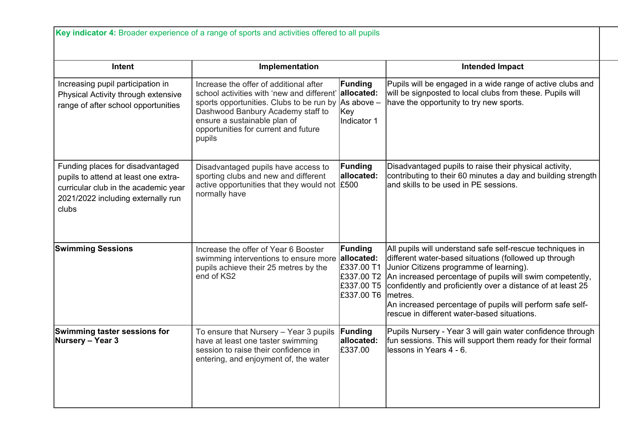**Key indicator 4:** Broader experience of a range of sports and activities offered to all pupils

| Intent                                                                                                                                                          | Implementation                                                                                                                                                                                                                                                        |                                                   | <b>Intended Impact</b>                                                                                                                                                                                                                                                                                                                                                                                                      |
|-----------------------------------------------------------------------------------------------------------------------------------------------------------------|-----------------------------------------------------------------------------------------------------------------------------------------------------------------------------------------------------------------------------------------------------------------------|---------------------------------------------------|-----------------------------------------------------------------------------------------------------------------------------------------------------------------------------------------------------------------------------------------------------------------------------------------------------------------------------------------------------------------------------------------------------------------------------|
| Increasing pupil participation in<br>Physical Activity through extensive<br>range of after school opportunities                                                 | Increase the offer of additional after<br>school activities with 'new and different'<br>sports opportunities. Clubs to be run by $ As above -$<br>Dashwood Banbury Academy staff to<br>ensure a sustainable plan of<br>opportunities for current and future<br>pupils | Funding<br>allocated:<br>Key<br>Indicator 1       | Pupils will be engaged in a wide range of active clubs and<br>will be signposted to local clubs from these. Pupils will<br>have the opportunity to try new sports.                                                                                                                                                                                                                                                          |
| Funding places for disadvantaged<br>pupils to attend at least one extra-<br>curricular club in the academic year<br>2021/2022 including externally run<br>clubs | Disadvantaged pupils have access to<br>sporting clubs and new and different<br>active opportunities that they would not $£500$<br>normally have                                                                                                                       | Funding<br>allocated:                             | Disadvantaged pupils to raise their physical activity,<br>contributing to their 60 minutes a day and building strength<br>and skills to be used in PE sessions.                                                                                                                                                                                                                                                             |
| <b>Swimming Sessions</b>                                                                                                                                        | Increase the offer of Year 6 Booster<br>swimming interventions to ensure more allocated:<br>pupils achieve their 25 metres by the<br>end of KS2                                                                                                                       | Funding<br>£337.00 T1<br>£337.00 T5<br>£337.00 T6 | All pupils will understand safe self-rescue techniques in<br>different water-based situations (followed up through<br>Junior Citizens programme of learning).<br>£337.00 T2 An increased percentage of pupils will swim competently,<br>confidently and proficiently over a distance of at least 25<br>Imetres.<br>An increased percentage of pupils will perform safe self-<br>rescue in different water-based situations. |
| Swimming taster sessions for<br>Nursery - Year 3                                                                                                                | To ensure that Nursery - Year 3 pupils<br>have at least one taster swimming<br>session to raise their confidence in<br>entering, and enjoyment of, the water                                                                                                          | Funding<br>allocated:<br>£337.00                  | Pupils Nursery - Year 3 will gain water confidence through<br>fun sessions. This will support them ready for their formal<br>llessons in Years 4 - 6.                                                                                                                                                                                                                                                                       |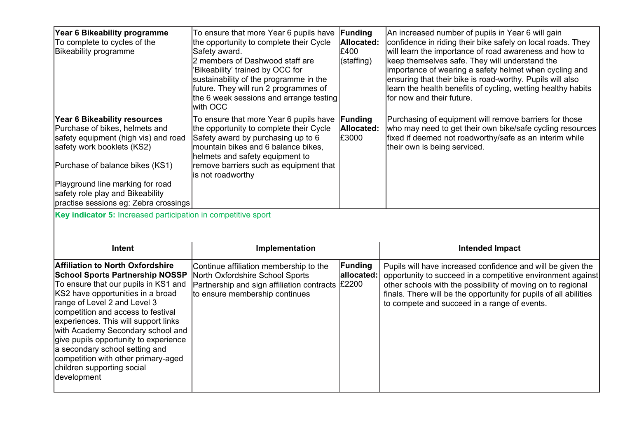| Year 6 Bikeability programme<br>To complete to cycles of the<br><b>Bikeability programme</b>                                                                                                                                                                                                                                                              | To ensure that more Year 6 pupils have<br>the opportunity to complete their Cycle<br>Safety award.<br>2 members of Dashwood staff are<br>'Bikeability' trained by OCC for<br>sustainability of the programme in the<br>future. They will run 2 programmes of<br>the 6 week sessions and arrange testing<br>with OCC | Funding<br>Allocated:<br>£400<br>(staffing) | An increased number of pupils in Year 6 will gain<br>confidence in riding their bike safely on local roads. They<br>will learn the importance of road awareness and how to<br>keep themselves safe. They will understand the<br>importance of wearing a safety helmet when cycling and<br>ensuring that their bike is road-worthy. Pupils will also<br>learn the health benefits of cycling, wetting healthy habits<br>for now and their future. |
|-----------------------------------------------------------------------------------------------------------------------------------------------------------------------------------------------------------------------------------------------------------------------------------------------------------------------------------------------------------|---------------------------------------------------------------------------------------------------------------------------------------------------------------------------------------------------------------------------------------------------------------------------------------------------------------------|---------------------------------------------|--------------------------------------------------------------------------------------------------------------------------------------------------------------------------------------------------------------------------------------------------------------------------------------------------------------------------------------------------------------------------------------------------------------------------------------------------|
| Year 6 Bikeability resources<br>Purchase of bikes, helmets and<br>safety equipment (high vis) and road<br>safety work booklets (KS2)<br>Purchase of balance bikes (KS1)<br>Playground line marking for road<br>safety role play and Bikeability<br>practise sessions eg: Zebra crossings<br>Key indicator 5: Increased participation in competitive sport | To ensure that more Year 6 pupils have<br>the opportunity to complete their Cycle<br>Safety award by purchasing up to 6<br>mountain bikes and 6 balance bikes,<br>helmets and safety equipment to<br>remove barriers such as equipment that<br>is not roadworthy                                                    | Funding<br>Allocated:<br>£3000              | Purchasing of equipment will remove barriers for those<br>who may need to get their own bike/safe cycling resources<br>fixed if deemed not roadworthy/safe as an interim while<br>their own is being serviced.                                                                                                                                                                                                                                   |
|                                                                                                                                                                                                                                                                                                                                                           |                                                                                                                                                                                                                                                                                                                     |                                             |                                                                                                                                                                                                                                                                                                                                                                                                                                                  |
|                                                                                                                                                                                                                                                                                                                                                           |                                                                                                                                                                                                                                                                                                                     |                                             |                                                                                                                                                                                                                                                                                                                                                                                                                                                  |
| Intent                                                                                                                                                                                                                                                                                                                                                    | Implementation                                                                                                                                                                                                                                                                                                      |                                             | <b>Intended Impact</b>                                                                                                                                                                                                                                                                                                                                                                                                                           |